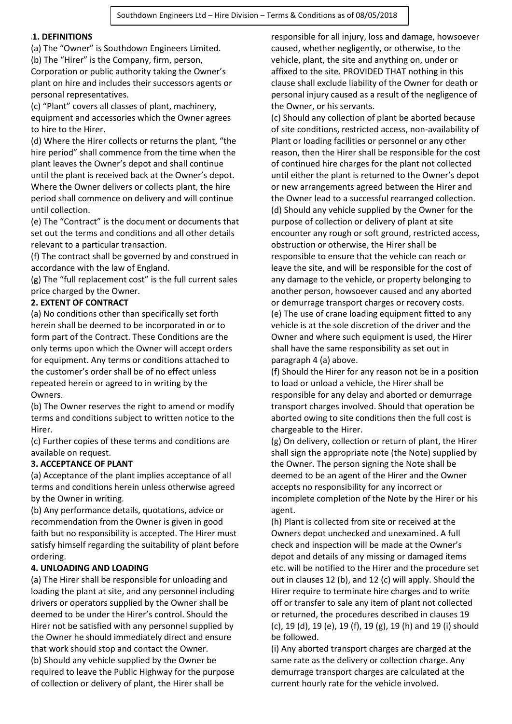### <sup>1</sup>**1. DEFINITIONS**

(a) The "Owner" is Southdown Engineers Limited. (b) The "Hirer" is the Company, firm, person, Corporation or public authority taking the Owner's plant on hire and includes their successors agents or personal representatives.

(c) "Plant" covers all classes of plant, machinery, equipment and accessories which the Owner agrees to hire to the Hirer.

(d) Where the Hirer collects or returns the plant, "the hire period" shall commence from the time when the plant leaves the Owner's depot and shall continue until the plant is received back at the Owner's depot. Where the Owner delivers or collects plant, the hire period shall commence on delivery and will continue until collection.

(e) The "Contract" is the document or documents that set out the terms and conditions and all other details relevant to a particular transaction.

(f) The contract shall be governed by and construed in accordance with the law of England.

(g) The "full replacement cost" is the full current sales price charged by the Owner.

## **2. EXTENT OF CONTRACT**

(a) No conditions other than specifically set forth herein shall be deemed to be incorporated in or to form part of the Contract. These Conditions are the only terms upon which the Owner will accept orders for equipment. Any terms or conditions attached to the customer's order shall be of no effect unless repeated herein or agreed to in writing by the Owners.

(b) The Owner reserves the right to amend or modify terms and conditions subject to written notice to the Hirer.

(c) Further copies of these terms and conditions are available on request.

## **3. ACCEPTANCE OF PLANT**

(a) Acceptance of the plant implies acceptance of all terms and conditions herein unless otherwise agreed by the Owner in writing.

(b) Any performance details, quotations, advice or recommendation from the Owner is given in good faith but no responsibility is accepted. The Hirer must satisfy himself regarding the suitability of plant before ordering.

## **4. UNLOADING AND LOADING**

(a) The Hirer shall be responsible for unloading and loading the plant at site, and any personnel including drivers or operators supplied by the Owner shall be deemed to be under the Hirer's control. Should the Hirer not be satisfied with any personnel supplied by the Owner he should immediately direct and ensure that work should stop and contact the Owner. (b) Should any vehicle supplied by the Owner be required to leave the Public Highway for the purpose of collection or delivery of plant, the Hirer shall be

responsible for all injury, loss and damage, howsoever caused, whether negligently, or otherwise, to the vehicle, plant, the site and anything on, under or affixed to the site. PROVIDED THAT nothing in this clause shall exclude liability of the Owner for death or personal injury caused as a result of the negligence of the Owner, or his servants.

(c) Should any collection of plant be aborted because of site conditions, restricted access, non-availability of Plant or loading facilities or personnel or any other reason, then the Hirer shall be responsible for the cost of continued hire charges for the plant not collected until either the plant is returned to the Owner's depot or new arrangements agreed between the Hirer and the Owner lead to a successful rearranged collection. (d) Should any vehicle supplied by the Owner for the purpose of collection or delivery of plant at site encounter any rough or soft ground, restricted access, obstruction or otherwise, the Hirer shall be responsible to ensure that the vehicle can reach or leave the site, and will be responsible for the cost of any damage to the vehicle, or property belonging to another person, howsoever caused and any aborted or demurrage transport charges or recovery costs. (e) The use of crane loading equipment fitted to any vehicle is at the sole discretion of the driver and the Owner and where such equipment is used, the Hirer shall have the same responsibility as set out in paragraph 4 (a) above.

(f) Should the Hirer for any reason not be in a position to load or unload a vehicle, the Hirer shall be responsible for any delay and aborted or demurrage transport charges involved. Should that operation be aborted owing to site conditions then the full cost is chargeable to the Hirer.

(g) On delivery, collection or return of plant, the Hirer shall sign the appropriate note (the Note) supplied by the Owner. The person signing the Note shall be deemed to be an agent of the Hirer and the Owner accepts no responsibility for any incorrect or incomplete completion of the Note by the Hirer or his agent.

(h) Plant is collected from site or received at the Owners depot unchecked and unexamined. A full check and inspection will be made at the Owner's depot and details of any missing or damaged items etc. will be notified to the Hirer and the procedure set out in clauses 12 (b), and 12 (c) will apply. Should the Hirer require to terminate hire charges and to write off or transfer to sale any item of plant not collected or returned, the procedures described in clauses 19 (c), 19 (d), 19 (e), 19 (f), 19 (g), 19 (h) and 19 (i) should be followed.

(i) Any aborted transport charges are charged at the same rate as the delivery or collection charge. Any demurrage transport charges are calculated at the current hourly rate for the vehicle involved.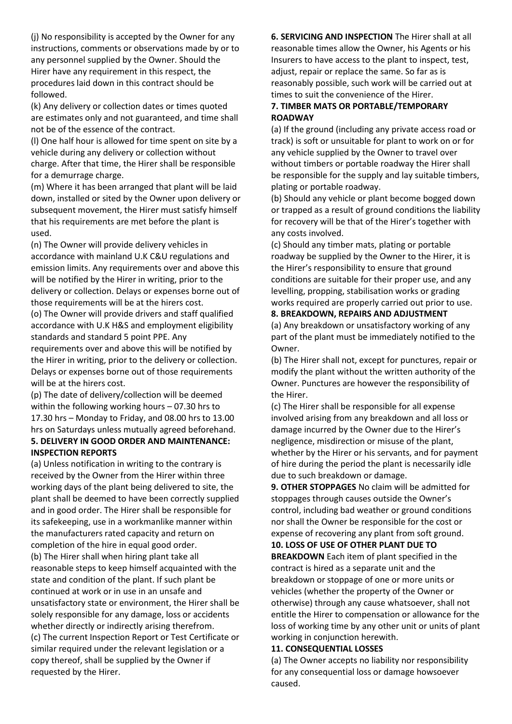(j) No responsibility is accepted by the Owner for any instructions, comments or observations made by or to any personnel supplied by the Owner. Should the Hirer have any requirement in this respect, the procedures laid down in this contract should be followed.

(k) Any delivery or collection dates or times quoted are estimates only and not guaranteed, and time shall not be of the essence of the contract.

(l) One half hour is allowed for time spent on site by a vehicle during any delivery or collection without charge. After that time, the Hirer shall be responsible for a demurrage charge.

(m) Where it has been arranged that plant will be laid down, installed or sited by the Owner upon delivery or subsequent movement, the Hirer must satisfy himself that his requirements are met before the plant is used.

(n) The Owner will provide delivery vehicles in accordance with mainland U.K C&U regulations and emission limits. Any requirements over and above this will be notified by the Hirer in writing, prior to the delivery or collection. Delays or expenses borne out of those requirements will be at the hirers cost.

(o) The Owner will provide drivers and staff qualified accordance with U.K H&S and employment eligibility standards and standard 5 point PPE. Any requirements over and above this will be notified by

the Hirer in writing, prior to the delivery or collection. Delays or expenses borne out of those requirements will be at the hirers cost.

(p) The date of delivery/collection will be deemed within the following working hours – 07.30 hrs to 17.30 hrs – Monday to Friday, and 08.00 hrs to 13.00 hrs on Saturdays unless mutually agreed beforehand. **5. DELIVERY IN GOOD ORDER AND MAINTENANCE: INSPECTION REPORTS** 

(a) Unless notification in writing to the contrary is received by the Owner from the Hirer within three working days of the plant being delivered to site, the plant shall be deemed to have been correctly supplied and in good order. The Hirer shall be responsible for its safekeeping, use in a workmanlike manner within the manufacturers rated capacity and return on completion of the hire in equal good order. (b) The Hirer shall when hiring plant take all reasonable steps to keep himself acquainted with the state and condition of the plant. If such plant be continued at work or in use in an unsafe and unsatisfactory state or environment, the Hirer shall be solely responsible for any damage, loss or accidents whether directly or indirectly arising therefrom. (c) The current Inspection Report or Test Certificate or similar required under the relevant legislation or a copy thereof, shall be supplied by the Owner if requested by the Hirer.

**6. SERVICING AND INSPECTION** The Hirer shall at all reasonable times allow the Owner, his Agents or his Insurers to have access to the plant to inspect, test, adjust, repair or replace the same. So far as is reasonably possible, such work will be carried out at times to suit the convenience of the Hirer.

## **7. TIMBER MATS OR PORTABLE/TEMPORARY ROADWAY**

(a) If the ground (including any private access road or track) is soft or unsuitable for plant to work on or for any vehicle supplied by the Owner to travel over without timbers or portable roadway the Hirer shall be responsible for the supply and lay suitable timbers, plating or portable roadway.

(b) Should any vehicle or plant become bogged down or trapped as a result of ground conditions the liability for recovery will be that of the Hirer's together with any costs involved.

(c) Should any timber mats, plating or portable roadway be supplied by the Owner to the Hirer, it is the Hirer's responsibility to ensure that ground conditions are suitable for their proper use, and any levelling, propping, stabilisation works or grading works required are properly carried out prior to use.

### **8. BREAKDOWN, REPAIRS AND ADJUSTMENT**

(a) Any breakdown or unsatisfactory working of any part of the plant must be immediately notified to the Owner.

(b) The Hirer shall not, except for punctures, repair or modify the plant without the written authority of the Owner. Punctures are however the responsibility of the Hirer.

(c) The Hirer shall be responsible for all expense involved arising from any breakdown and all loss or damage incurred by the Owner due to the Hirer's negligence, misdirection or misuse of the plant, whether by the Hirer or his servants, and for payment of hire during the period the plant is necessarily idle due to such breakdown or damage.

**9. OTHER STOPPAGES** No claim will be admitted for stoppages through causes outside the Owner's control, including bad weather or ground conditions nor shall the Owner be responsible for the cost or expense of recovering any plant from soft ground.

**10. LOSS OF USE OF OTHER PLANT DUE TO BREAKDOWN** Each item of plant specified in the contract is hired as a separate unit and the breakdown or stoppage of one or more units or vehicles (whether the property of the Owner or otherwise) through any cause whatsoever, shall not entitle the Hirer to compensation or allowance for the loss of working time by any other unit or units of plant working in conjunction herewith.

#### **11. CONSEQUENTIAL LOSSES**

(a) The Owner accepts no liability nor responsibility for any consequential loss or damage howsoever caused.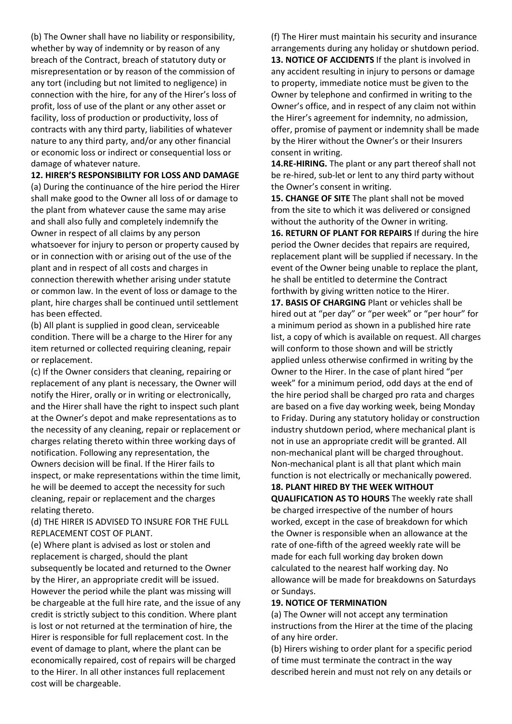(b) The Owner shall have no liability or responsibility, whether by way of indemnity or by reason of any breach of the Contract, breach of statutory duty or misrepresentation or by reason of the commission of any tort (including but not limited to negligence) in connection with the hire, for any of the Hirer's loss of profit, loss of use of the plant or any other asset or facility, loss of production or productivity, loss of contracts with any third party, liabilities of whatever nature to any third party, and/or any other financial or economic loss or indirect or consequential loss or damage of whatever nature.

**12. HIRER'S RESPONSIBILITY FOR LOSS AND DAMAGE** (a) During the continuance of the hire period the Hirer shall make good to the Owner all loss of or damage to the plant from whatever cause the same may arise and shall also fully and completely indemnify the Owner in respect of all claims by any person whatsoever for injury to person or property caused by or in connection with or arising out of the use of the plant and in respect of all costs and charges in connection therewith whether arising under statute or common law. In the event of loss or damage to the plant, hire charges shall be continued until settlement has been effected.

(b) All plant is supplied in good clean, serviceable condition. There will be a charge to the Hirer for any item returned or collected requiring cleaning, repair or replacement.

(c) If the Owner considers that cleaning, repairing or replacement of any plant is necessary, the Owner will notify the Hirer, orally or in writing or electronically, and the Hirer shall have the right to inspect such plant at the Owner's depot and make representations as to the necessity of any cleaning, repair or replacement or charges relating thereto within three working days of notification. Following any representation, the Owners decision will be final. If the Hirer fails to inspect, or make representations within the time limit, he will be deemed to accept the necessity for such cleaning, repair or replacement and the charges relating thereto.

(d) THE HIRER IS ADVISED TO INSURE FOR THE FULL REPLACEMENT COST OF PLANT.

(e) Where plant is advised as lost or stolen and replacement is charged, should the plant subsequently be located and returned to the Owner by the Hirer, an appropriate credit will be issued. However the period while the plant was missing will be chargeable at the full hire rate, and the issue of any credit is strictly subject to this condition. Where plant is lost or not returned at the termination of hire, the Hirer is responsible for full replacement cost. In the event of damage to plant, where the plant can be economically repaired, cost of repairs will be charged to the Hirer. In all other instances full replacement cost will be chargeable.

(f) The Hirer must maintain his security and insurance arrangements during any holiday or shutdown period. **13. NOTICE OF ACCIDENTS** If the plant is involved in any accident resulting in injury to persons or damage to property, immediate notice must be given to the Owner by telephone and confirmed in writing to the Owner's office, and in respect of any claim not within the Hirer's agreement for indemnity, no admission, offer, promise of payment or indemnity shall be made by the Hirer without the Owner's or their Insurers consent in writing.

**14.RE-HIRING.** The plant or any part thereof shall not be re-hired, sub-let or lent to any third party without the Owner's consent in writing.

**15. CHANGE OF SITE** The plant shall not be moved from the site to which it was delivered or consigned without the authority of the Owner in writing.

**16. RETURN OF PLANT FOR REPAIRS** If during the hire period the Owner decides that repairs are required, replacement plant will be supplied if necessary. In the event of the Owner being unable to replace the plant, he shall be entitled to determine the Contract forthwith by giving written notice to the Hirer.

**17. BASIS OF CHARGING** Plant or vehicles shall be hired out at "per day" or "per week" or "per hour" for a minimum period as shown in a published hire rate list, a copy of which is available on request. All charges will conform to those shown and will be strictly applied unless otherwise confirmed in writing by the Owner to the Hirer. In the case of plant hired "per week" for a minimum period, odd days at the end of the hire period shall be charged pro rata and charges are based on a five day working week, being Monday to Friday. During any statutory holiday or construction industry shutdown period, where mechanical plant is not in use an appropriate credit will be granted. All non-mechanical plant will be charged throughout. Non-mechanical plant is all that plant which main function is not electrically or mechanically powered.

**18. PLANT HIRED BY THE WEEK WITHOUT** 

**QUALIFICATION AS TO HOURS** The weekly rate shall be charged irrespective of the number of hours worked, except in the case of breakdown for which the Owner is responsible when an allowance at the rate of one-fifth of the agreed weekly rate will be made for each full working day broken down calculated to the nearest half working day. No allowance will be made for breakdowns on Saturdays or Sundays.

#### **19. NOTICE OF TERMINATION**

(a) The Owner will not accept any termination instructions from the Hirer at the time of the placing of any hire order.

(b) Hirers wishing to order plant for a specific period of time must terminate the contract in the way described herein and must not rely on any details or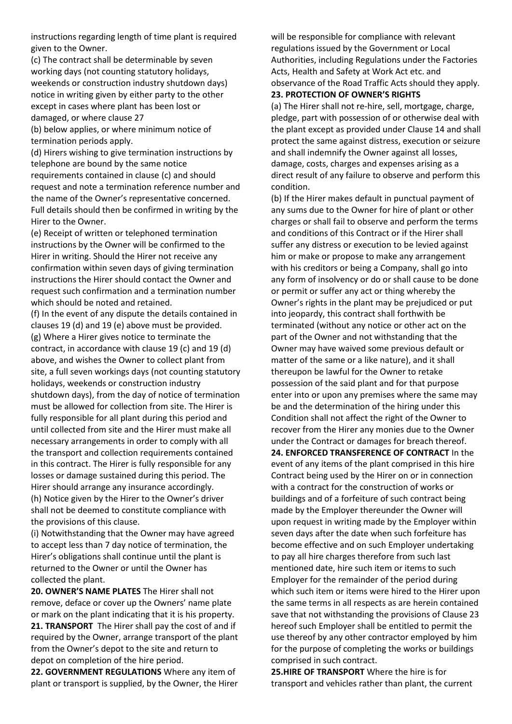instructions regarding length of time plant is required given to the Owner.

(c) The contract shall be determinable by seven working days (not counting statutory holidays, weekends or construction industry shutdown days) notice in writing given by either party to the other except in cases where plant has been lost or damaged, or where clause 27

(b) below applies, or where minimum notice of termination periods apply.

(d) Hirers wishing to give termination instructions by telephone are bound by the same notice requirements contained in clause (c) and should request and note a termination reference number and the name of the Owner's representative concerned. Full details should then be confirmed in writing by the Hirer to the Owner.

(e) Receipt of written or telephoned termination instructions by the Owner will be confirmed to the Hirer in writing. Should the Hirer not receive any confirmation within seven days of giving termination instructions the Hirer should contact the Owner and request such confirmation and a termination number which should be noted and retained.

(f) In the event of any dispute the details contained in clauses 19 (d) and 19 (e) above must be provided. (g) Where a Hirer gives notice to terminate the contract, in accordance with clause 19 (c) and 19 (d) above, and wishes the Owner to collect plant from site, a full seven workings days (not counting statutory holidays, weekends or construction industry shutdown days), from the day of notice of termination must be allowed for collection from site. The Hirer is fully responsible for all plant during this period and until collected from site and the Hirer must make all necessary arrangements in order to comply with all the transport and collection requirements contained in this contract. The Hirer is fully responsible for any losses or damage sustained during this period. The Hirer should arrange any insurance accordingly. (h) Notice given by the Hirer to the Owner's driver shall not be deemed to constitute compliance with the provisions of this clause.

(i) Notwithstanding that the Owner may have agreed to accept less than 7 day notice of termination, the Hirer's obligations shall continue until the plant is returned to the Owner or until the Owner has collected the plant.

**20. OWNER'S NAME PLATES** The Hirer shall not remove, deface or cover up the Owners' name plate or mark on the plant indicating that it is his property. **21. TRANSPORT** The Hirer shall pay the cost of and if required by the Owner, arrange transport of the plant from the Owner's depot to the site and return to depot on completion of the hire period.

**22. GOVERNMENT REGULATIONS** Where any item of plant or transport is supplied, by the Owner, the Hirer will be responsible for compliance with relevant regulations issued by the Government or Local Authorities, including Regulations under the Factories Acts, Health and Safety at Work Act etc. and observance of the Road Traffic Acts should they apply. **23. PROTECTION OF OWNER'S RIGHTS**

(a) The Hirer shall not re-hire, sell, mortgage, charge, pledge, part with possession of or otherwise deal with the plant except as provided under Clause 14 and shall protect the same against distress, execution or seizure and shall indemnify the Owner against all losses, damage, costs, charges and expenses arising as a direct result of any failure to observe and perform this condition.

(b) If the Hirer makes default in punctual payment of any sums due to the Owner for hire of plant or other charges or shall fail to observe and perform the terms and conditions of this Contract or if the Hirer shall suffer any distress or execution to be levied against him or make or propose to make any arrangement with his creditors or being a Company, shall go into any form of insolvency or do or shall cause to be done or permit or suffer any act or thing whereby the Owner's rights in the plant may be prejudiced or put into jeopardy, this contract shall forthwith be terminated (without any notice or other act on the part of the Owner and not withstanding that the Owner may have waived some previous default or matter of the same or a like nature), and it shall thereupon be lawful for the Owner to retake possession of the said plant and for that purpose enter into or upon any premises where the same may be and the determination of the hiring under this Condition shall not affect the right of the Owner to recover from the Hirer any monies due to the Owner under the Contract or damages for breach thereof. **24. ENFORCED TRANSFERENCE OF CONTRACT** In the event of any items of the plant comprised in this hire Contract being used by the Hirer on or in connection with a contract for the construction of works or buildings and of a forfeiture of such contract being made by the Employer thereunder the Owner will upon request in writing made by the Employer within seven days after the date when such forfeiture has become effective and on such Employer undertaking to pay all hire charges therefore from such last mentioned date, hire such item or items to such Employer for the remainder of the period during which such item or items were hired to the Hirer upon the same terms in all respects as are herein contained save that not withstanding the provisions of Clause 23 hereof such Employer shall be entitled to permit the use thereof by any other contractor employed by him for the purpose of completing the works or buildings comprised in such contract.

**25.HIRE OF TRANSPORT** Where the hire is for transport and vehicles rather than plant, the current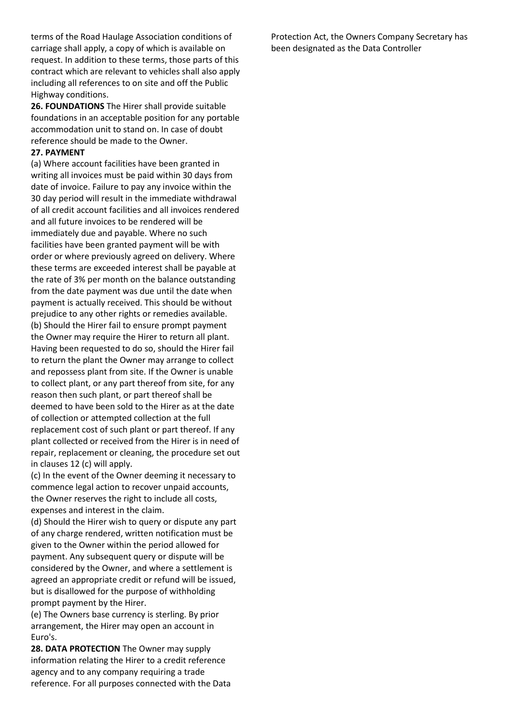terms of the Road Haulage Association conditions of carriage shall apply, a copy of which is available on request. In addition to these terms, those parts of this contract which are relevant to vehicles shall also apply including all references to on site and off the Public Highway conditions.

**26. FOUNDATIONS** The Hirer shall provide suitable foundations in an acceptable position for any portable accommodation unit to stand on. In case of doubt reference should be made to the Owner.

#### **27. PAYMENT**

(a) Where account facilities have been granted in writing all invoices must be paid within 30 days from date of invoice. Failure to pay any invoice within the 30 day period will result in the immediate withdrawal of all credit account facilities and all invoices rendered and all future invoices to be rendered will be immediately due and payable. Where no such facilities have been granted payment will be with order or where previously agreed on delivery. Where these terms are exceeded interest shall be payable at the rate of 3% per month on the balance outstanding from the date payment was due until the date when payment is actually received. This should be without prejudice to any other rights or remedies available. (b) Should the Hirer fail to ensure prompt payment the Owner may require the Hirer to return all plant. Having been requested to do so, should the Hirer fail to return the plant the Owner may arrange to collect and repossess plant from site. If the Owner is unable to collect plant, or any part thereof from site, for any reason then such plant, or part thereof shall be deemed to have been sold to the Hirer as at the date of collection or attempted collection at the full replacement cost of such plant or part thereof. If any plant collected or received from the Hirer is in need of repair, replacement or cleaning, the procedure set out in clauses 12 (c) will apply.

(c) In the event of the Owner deeming it necessary to commence legal action to recover unpaid accounts, the Owner reserves the right to include all costs, expenses and interest in the claim.

(d) Should the Hirer wish to query or dispute any part of any charge rendered, written notification must be given to the Owner within the period allowed for payment. Any subsequent query or dispute will be considered by the Owner, and where a settlement is agreed an appropriate credit or refund will be issued, but is disallowed for the purpose of withholding prompt payment by the Hirer.

(e) The Owners base currency is sterling. By prior arrangement, the Hirer may open an account in Euro's.

**28. DATA PROTECTION** The Owner may supply information relating the Hirer to a credit reference agency and to any company requiring a trade reference. For all purposes connected with the Data Protection Act, the Owners Company Secretary has been designated as the Data Controller